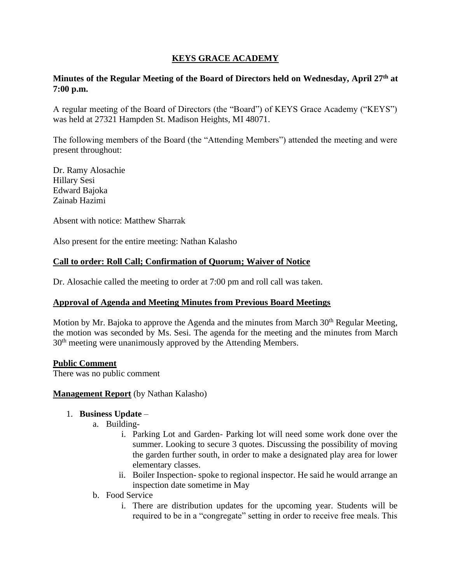## **KEYS GRACE ACADEMY**

### **Minutes of the Regular Meeting of the Board of Directors held on Wednesday, April 27th at 7:00 p.m.**

A regular meeting of the Board of Directors (the "Board") of KEYS Grace Academy ("KEYS") was held at 27321 Hampden St. Madison Heights, MI 48071.

The following members of the Board (the "Attending Members") attended the meeting and were present throughout:

Dr. Ramy Alosachie Hillary Sesi Edward Bajoka Zainab Hazimi

Absent with notice: Matthew Sharrak

Also present for the entire meeting: Nathan Kalasho

### **Call to order: Roll Call; Confirmation of Quorum; Waiver of Notice**

Dr. Alosachie called the meeting to order at 7:00 pm and roll call was taken.

### **Approval of Agenda and Meeting Minutes from Previous Board Meetings**

Motion by Mr. Bajoka to approve the Agenda and the minutes from March 30<sup>th</sup> Regular Meeting, the motion was seconded by Ms. Sesi. The agenda for the meeting and the minutes from March 30th meeting were unanimously approved by the Attending Members.

### **Public Comment**

There was no public comment

### **Management Report** (by Nathan Kalasho)

### 1. **Business Update** –

- a. Building
	- i. Parking Lot and Garden- Parking lot will need some work done over the summer. Looking to secure 3 quotes. Discussing the possibility of moving the garden further south, in order to make a designated play area for lower elementary classes.
	- ii. Boiler Inspection- spoke to regional inspector. He said he would arrange an inspection date sometime in May
- b. Food Service
	- i. There are distribution updates for the upcoming year. Students will be required to be in a "congregate" setting in order to receive free meals. This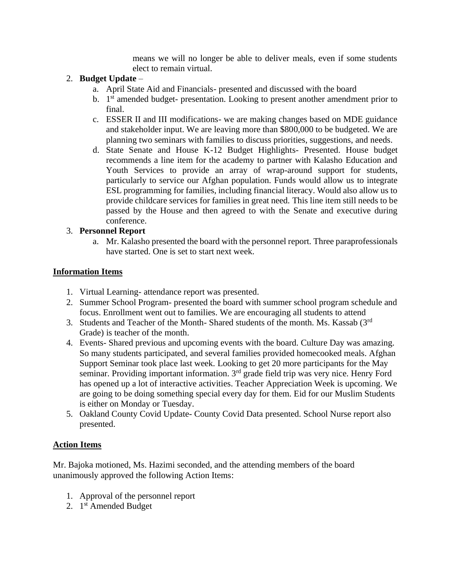means we will no longer be able to deliver meals, even if some students elect to remain virtual.

## 2. **Budget Update** –

- a. April State Aid and Financials- presented and discussed with the board
- b. 1<sup>st</sup> amended budget- presentation. Looking to present another amendment prior to final.
- c. ESSER II and III modifications- we are making changes based on MDE guidance and stakeholder input. We are leaving more than \$800,000 to be budgeted. We are planning two seminars with families to discuss priorities, suggestions, and needs.
- d. State Senate and House K-12 Budget Highlights- Presented. House budget recommends a line item for the academy to partner with Kalasho Education and Youth Services to provide an array of wrap-around support for students, particularly to service our Afghan population. Funds would allow us to integrate ESL programming for families, including financial literacy. Would also allow us to provide childcare services for families in great need. This line item still needs to be passed by the House and then agreed to with the Senate and executive during conference.

## 3. **Personnel Report**

a. Mr. Kalasho presented the board with the personnel report. Three paraprofessionals have started. One is set to start next week.

## **Information Items**

- 1. Virtual Learning- attendance report was presented.
- 2. Summer School Program- presented the board with summer school program schedule and focus. Enrollment went out to families. We are encouraging all students to attend
- 3. Students and Teacher of the Month- Shared students of the month. Ms. Kassab (3rd Grade) is teacher of the month.
- 4. Events- Shared previous and upcoming events with the board. Culture Day was amazing. So many students participated, and several families provided homecooked meals. Afghan Support Seminar took place last week. Looking to get 20 more participants for the May seminar. Providing important information. 3<sup>rd</sup> grade field trip was very nice. Henry Ford has opened up a lot of interactive activities. Teacher Appreciation Week is upcoming. We are going to be doing something special every day for them. Eid for our Muslim Students is either on Monday or Tuesday.
- 5. Oakland County Covid Update- County Covid Data presented. School Nurse report also presented.

# **Action Items**

Mr. Bajoka motioned, Ms. Hazimi seconded, and the attending members of the board unanimously approved the following Action Items:

- 1. Approval of the personnel report
- 2. 1<sup>st</sup> Amended Budget